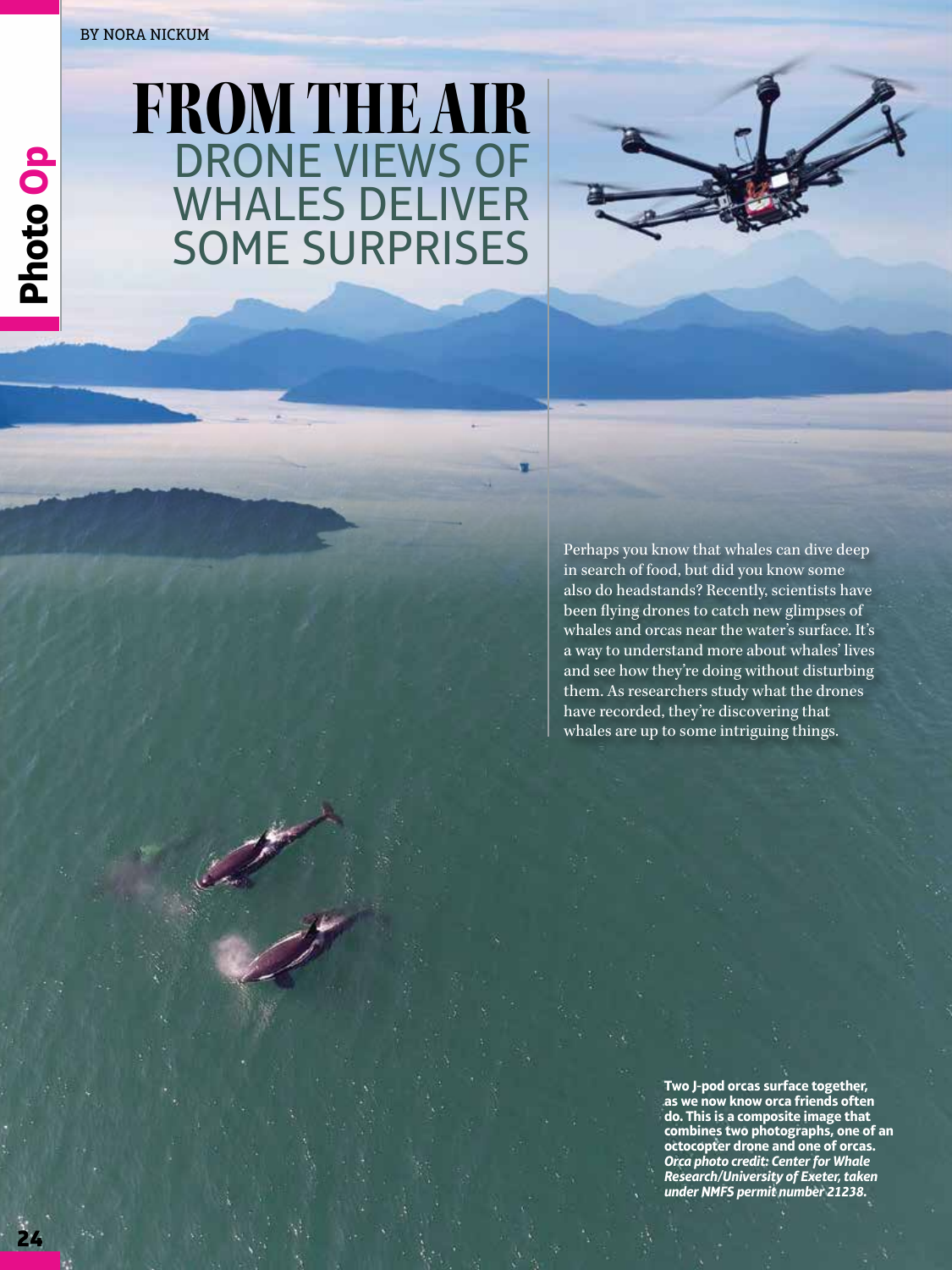## BY NORA NICKUM

**24 Photo Op**

24

Photo Op

## FROM THE AIR DRONE VIEWS OF WHALES DELIVER SOME SURPRISES



Perhaps you know that whales can dive deep in search of food, but did you know some also do headstands? Recently, scientists have been flying drones to catch new glimpses of whales and orcas near the water's surface. It's a way to understand more about whales' lives and see how they're doing without disturbing them. As researchers study what the drones have recorded, they're discovering that whales are up to some intriguing things.

> **Two J-pod orcas surface together, as we now know orca friends often do. This is a composite image that combines two photographs, one of an octocopter drone and one of orcas.**  *Orca photo credit: Center for Whale Research/University of Exeter, taken under NMFS permit number 21238.*